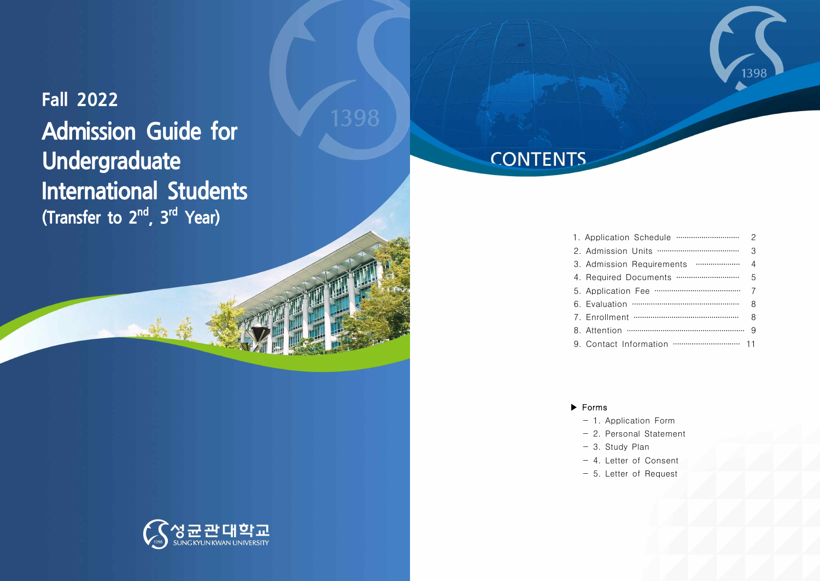**Fall 2022 Admission Guide for Undergraduate International Students (Transfer to 2<sup>nd</sup>, 3<sup>rd</sup> Year)** 



| 2 |
|---|
| 3 |
| 4 |
| 5 |
|   |
| 8 |
| 8 |
|   |
|   |

1398

### ▶ Forms

- 1. Application Form
- 2. Personal Statement
- 3. Study Plan
- 4. Letter of Consent
- 5. Letter of Request

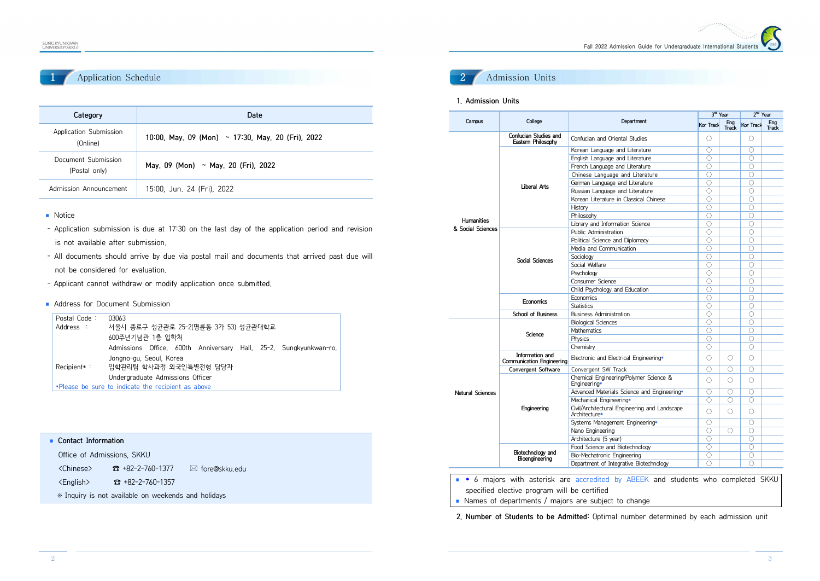# Application Schedule

| Category                             | Date                                                   |
|--------------------------------------|--------------------------------------------------------|
| Application Submission<br>(Online)   | 10:00, May, 09 (Mon) $\sim$ 17:30, May, 20 (Fri), 2022 |
| Document Submission<br>(Postal only) | May, 09 (Mon) ~ May, 20 (Fri), 2022                    |
| Admission Announcement               | 15:00, Jun. 24 (Fri), 2022                             |

- Notice
- Application submission is due at 17:30 on the last day of the application period and revision is not available after submission.
- All documents should arrive by due via postal mail and documents that arrived past due will not be considered for evaluation.
- Applicant cannot withdraw or modify application once submitted.
- Address for Document Submission

| Postal Code: | 03063                                                             |
|--------------|-------------------------------------------------------------------|
| Address :    | 서울시 종로구 성균관로 25-2(명륜동 3가 53) 성균관대학교                               |
|              | 600주년기념관 1층 입학처                                                   |
|              | Admissions Office, 600th Anniversary Hall, 25-2, Sungkyunkwan-ro, |
|              | Jongno-gu, Seoul, Korea<br>Recipient*: 입학관리팀 학사과정 외국인특별전형 담당자     |
|              | Undergraduate Admissions Officer                                  |
|              | *Please be sure to indicate the recipient as above                |

| • Contact Information      |  |
|----------------------------|--|
| Office of Admissions, SKKU |  |

<Chinese> ☎ +82-2-760-1377 \* fore@skku.edu

<English> ☎ +82-2-760-1357

※ Inquiry is not available on weekends and holidays

# 2 Admission Units

#### **1. Admission Units**

|                         |                                              |                                                                | 3rd Year       |                                         | 2 <sup>nd</sup> Year |                     |
|-------------------------|----------------------------------------------|----------------------------------------------------------------|----------------|-----------------------------------------|----------------------|---------------------|
| Campus                  | College                                      | Department                                                     |                | Ena<br><b>Kor Track</b><br><b>Track</b> | Kor Track            | Eng<br><b>Track</b> |
|                         | Confucian Studies and<br>Eastern Philosophy  | Confucian and Oriental Studies                                 | Ω              |                                         | О                    |                     |
|                         |                                              | Korean Language and Literature                                 | ∩              |                                         | Ο                    |                     |
|                         |                                              | English Language and Literature                                | 0              |                                         | $\bigcirc$           |                     |
|                         |                                              | French Language and Literature                                 | О              |                                         | $\circ$              |                     |
|                         |                                              | Chinese Language and Literature                                | $\bigcirc$     |                                         | 0                    |                     |
|                         | Liberal Arts                                 | German Language and Literature                                 | 0              |                                         | $\bigcirc$           |                     |
|                         |                                              | Russian Language and Literature                                | 0              |                                         | $\overline{O}$       |                     |
|                         |                                              | Korean Literature in Classical Chinese                         | 0              |                                         | 0                    |                     |
|                         |                                              | History                                                        | 0              |                                         | 0                    |                     |
|                         |                                              | Philosophy                                                     | 0              |                                         | 0                    |                     |
| <b>Humanities</b>       |                                              | Library and Information Science                                | 0              |                                         | 0                    |                     |
| & Social Sciences       |                                              | Public Administration                                          | $\overline{O}$ |                                         | $\overline{O}$       |                     |
|                         |                                              | Political Science and Diplomacy                                | $\bigcirc$     |                                         | $\bigcirc$           |                     |
|                         |                                              | Media and Communication                                        | Ω              |                                         | Ο                    |                     |
|                         | <b>Social Sciences</b>                       | Sociology                                                      | $\bigcirc$     |                                         | $\bigcirc$           |                     |
|                         |                                              | Social Welfare                                                 | О              |                                         | 0                    |                     |
|                         |                                              | Psychology                                                     | 0              |                                         | 0                    |                     |
|                         |                                              | Consumer Science                                               | 0              |                                         | $\bigcirc$           |                     |
|                         |                                              | Child Psychology and Education                                 | 0              |                                         | $\bigcirc$           |                     |
|                         | Economics                                    | Economics                                                      | $\bigcirc$     |                                         | $\bigcirc$           |                     |
|                         |                                              | <b>Statistics</b>                                              | О              |                                         | 0                    |                     |
|                         | School of Business                           | <b>Business Administration</b>                                 | 0              |                                         | 0                    |                     |
|                         | Science                                      | <b>Biological Sciences</b>                                     | $\bigcirc$     |                                         | $\bigcirc$           |                     |
|                         |                                              | <b>Mathematics</b>                                             | О              |                                         | 0                    |                     |
|                         |                                              | Physics                                                        | $\bigcirc$     |                                         | $\bigcirc$           |                     |
|                         |                                              | Chemistry                                                      | 0              |                                         | 0                    |                     |
|                         | Information and<br>Communication Engineering | Electronic and Electrical Engineering*                         | $\bigcirc$     | ◯                                       | 0                    |                     |
|                         | Convergent Software                          | Convergent SW Track                                            | Ω              | ◯                                       | Ο                    |                     |
|                         |                                              | Chemical Engineering/Polymer Science &<br>Engineering*         | 0              | ◯                                       | O                    |                     |
| <b>Natural Sciences</b> |                                              | Advanced Materials Science and Engineering*                    | 0              | $\bigcirc$                              | 0                    |                     |
|                         |                                              | Mechanical Engineering*                                        | Ω              | ◯                                       | $\bigcirc$           |                     |
|                         | Engineering                                  | Civil/Architectural Engineering and Landscape<br>Architecture* | $\bigcirc$     | 0                                       | О                    |                     |
|                         |                                              | Systems Management Engineering*                                | Ω              |                                         | Ο                    |                     |
|                         |                                              | Nano Engineering                                               | 0              | 0                                       | 0                    |                     |
|                         |                                              | Architecture (5 year)                                          | 0              |                                         | 0                    |                     |
|                         |                                              | Food Science and Biotechnology                                 | 0              |                                         | 0                    |                     |
|                         | Biotechnology and                            | Bio-Mechatronic Engineering                                    | О              |                                         | $\circ$              |                     |
|                         | Bioengineering                               | Department of Integrative Biotechnology                        | $\bigcirc$     |                                         | $\bigcirc$           |                     |

- ◾ **\*** 6 majors with asterisk are accredited by ABEEK and students who completed SKKU specified elective program will be certified
- Names of departments / majors are subject to change

**2. Number of Students to be Admitted:** Optimal number determined by each admission unit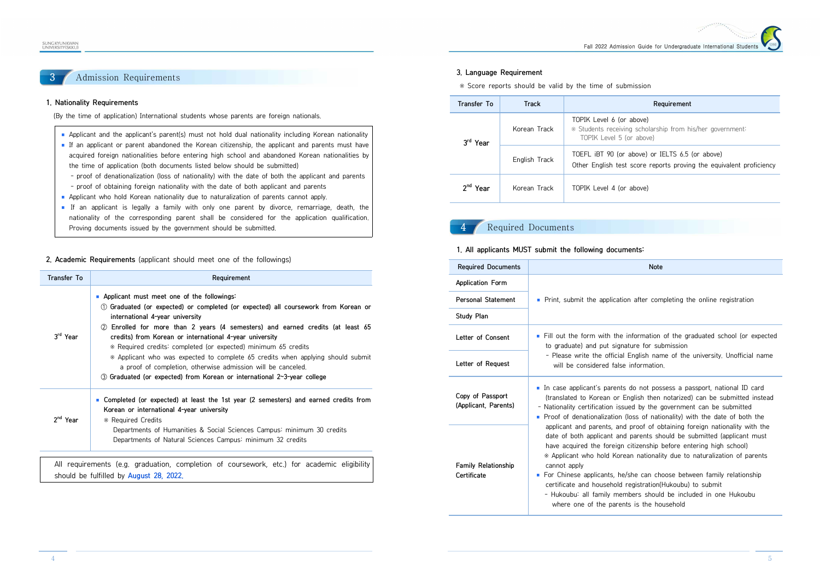#### SUNG KYUN KWAN<br>UNIVERSITY (SKKU

# 3 Admission Requirements

#### **1. Nationality Requirements**

(By the time of application) International students whose parents are foreign nationals.

- Applicant and the applicant's parent(s) must not hold dual nationality including Korean nationality
- If an applicant or parent abandoned the Korean citizenship, the applicant and parents must have acquired foreign nationalities before entering high school and abandoned Korean nationalities by the time of application (both documents listed below should be submitted)
	- proof of denationalization (loss of nationality) with the date of both the applicant and parents - proof of obtaining foreign nationality with the date of both applicant and parents
- 
- Applicant who hold Korean nationality due to naturalization of parents cannot apply.
- If an applicant is legally a family with only one parent by divorce, remarriage, death, the nationality of the corresponding parent shall be considered for the application qualification. Proving documents issued by the government should be submitted.

**2. Academic Requirements** (applicant should meet one of the followings)

| Transfer To          | Requirement                                                                                                                                                                                                                                                                                                                                                                                                                                                                                                                                                                                                             |
|----------------------|-------------------------------------------------------------------------------------------------------------------------------------------------------------------------------------------------------------------------------------------------------------------------------------------------------------------------------------------------------------------------------------------------------------------------------------------------------------------------------------------------------------------------------------------------------------------------------------------------------------------------|
| 3rd Year             | Applicant must meet one of the followings:<br>1 Graduated (or expected) or completed (or expected) all coursework from Korean or<br>international 4-year university<br>2 Enrolled for more than 2 years (4 semesters) and earned credits (at least 65<br>credits) from Korean or international 4-year university<br>* Required credits: completed (or expected) minimum 65 credits<br>* Applicant who was expected to complete 65 credits when applying should submit<br>a proof of completion, otherwise admission will be canceled.<br><b>③ Graduated (or expected) from Korean or international 2~3-year college</b> |
| 2 <sup>nd</sup> Year | ■ Completed (or expected) at least the 1st year (2 semesters) and earned credits from<br>Korean or international 4-year university<br>* Required Credits<br>Departments of Humanities & Social Sciences Campus: minimum 30 credits<br>Departments of Natural Sciences Campus: minimum 32 credits                                                                                                                                                                                                                                                                                                                        |

should be fulfilled by **August 28, 2022.**

#### **3. Language Requirement**

※ Score reports should be valid by the time of submission

| Transfer To          | Track         | Requirement                                                                                                            |
|----------------------|---------------|------------------------------------------------------------------------------------------------------------------------|
| 3 <sup>ra</sup> Year | Korean Track  | TOPIK Level 6 (or above)<br>* Students receiving scholarship from his/her government:<br>TOPIK Level 5 (or above)      |
|                      | English Track | TOEFL IBT 90 (or above) or IELTS 6.5 (or above)<br>Other English test score reports proving the equivalent proficiency |
| Year                 | Korean Track  | TOPIK Level 4 (or above)                                                                                               |

# Required Documents

#### **1. All applicants MUST submit the following documents:**

| <b>Required Documents</b>                 | <b>Note</b>                                                                                                                                                                                                                                                                                                                                                                                                                                                                                                                                                                    |
|-------------------------------------------|--------------------------------------------------------------------------------------------------------------------------------------------------------------------------------------------------------------------------------------------------------------------------------------------------------------------------------------------------------------------------------------------------------------------------------------------------------------------------------------------------------------------------------------------------------------------------------|
| Application Form                          |                                                                                                                                                                                                                                                                                                                                                                                                                                                                                                                                                                                |
| <b>Personal Statement</b>                 | • Print, submit the application after completing the online registration                                                                                                                                                                                                                                                                                                                                                                                                                                                                                                       |
| Study Plan                                |                                                                                                                                                                                                                                                                                                                                                                                                                                                                                                                                                                                |
| Letter of Consent                         | Fill out the form with the information of the graduated school (or expected<br>ш<br>to graduate) and put signature for submission                                                                                                                                                                                                                                                                                                                                                                                                                                              |
| Letter of Request                         | - Please write the official English name of the university, Unofficial name<br>will be considered false information.                                                                                                                                                                                                                                                                                                                                                                                                                                                           |
| Copy of Passport<br>(Applicant, Parents)  | In case applicant's parents do not possess a passport, national ID card<br>(translated to Korean or English then notarized) can be submitted instead<br>- Nationality certification issued by the government can be submitted<br>Proof of denationalization (loss of nationality) with the date of both the                                                                                                                                                                                                                                                                    |
| <b>Family Relationship</b><br>Certificate | applicant and parents, and proof of obtaining foreign nationality with the<br>date of both applicant and parents should be submitted (applicant must<br>have acquired the foreign citizenship before entering high school)<br>* Applicant who hold Korean nationality due to naturalization of parents<br>cannot apply<br>• For Chinese applicants, he/she can choose between family relationship<br>certificate and household registration(Hukoubu) to submit<br>- Hukoubu: all family members should be included in one Hukoubu<br>where one of the parents is the household |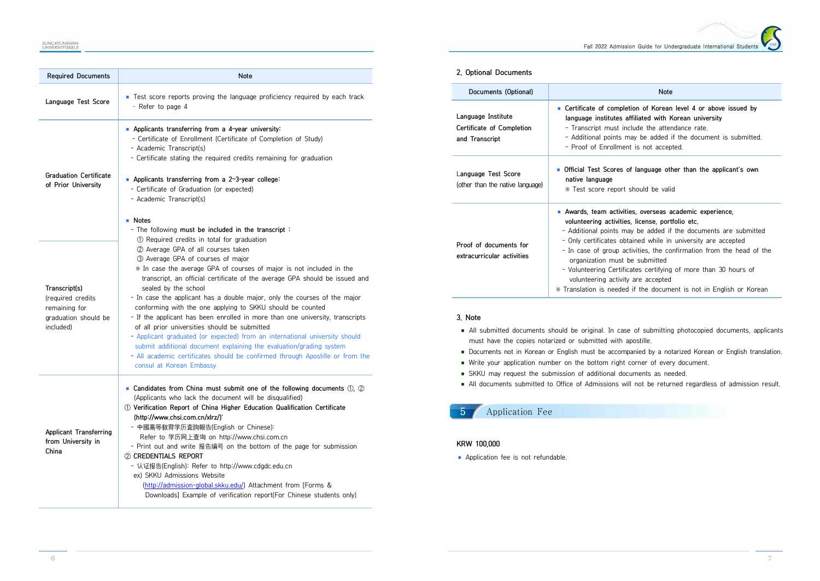Fall 2022 Admission Guide for Undergraduate International Stude

| <b>Required Documents</b>                                                                 | Note                                                                                                                                                                                                                                                                                                                                                                                                                                                                                                                                                                                                                                                                                                                                                                                                                                                 |
|-------------------------------------------------------------------------------------------|------------------------------------------------------------------------------------------------------------------------------------------------------------------------------------------------------------------------------------------------------------------------------------------------------------------------------------------------------------------------------------------------------------------------------------------------------------------------------------------------------------------------------------------------------------------------------------------------------------------------------------------------------------------------------------------------------------------------------------------------------------------------------------------------------------------------------------------------------|
| Language Test Score                                                                       | ■ Test score reports proving the language proficiency required by each track<br>- Refer to page 4                                                                                                                                                                                                                                                                                                                                                                                                                                                                                                                                                                                                                                                                                                                                                    |
| <b>Graduation Certificate</b><br>of Prior University                                      | Applicants transferring from a 4-year university<br>- Certificate of Enrollment (Certificate of Completion of Study)<br>- Academic Transcript(s)<br>- Certificate stating the required credits remaining for graduation<br><b>Applicants transferring from a 2~3-year college:</b><br>- Certificate of Graduation (or expected)<br>- Academic Transcript(s)<br>■ Notes<br>- The following must be included in the transcript:                                                                                                                                                                                                                                                                                                                                                                                                                        |
| Transcript(s)<br>(required credits)<br>remaining for<br>graduation should be<br>included) | 1 Required credits in total for graduation<br>2 Average GPA of all courses taken<br>3 Average GPA of courses of major<br>* In case the average GPA of courses of major is not included in the<br>transcript, an official certificate of the average GPA should be issued and<br>sealed by the school<br>- In case the applicant has a double major, only the courses of the major<br>conforming with the one applying to SKKU should be counted<br>- If the applicant has been enrolled in more than one university, transcripts<br>of all prior universities should be submitted<br>- Applicant graduated (or expected) from an international university should<br>submit additional document explaining the evaluation/grading system<br>- All academic certificates should be confirmed through Apostille or from the<br>consul at Korean Embassy |
| Applicant Transferring<br>from University in<br>China                                     | • Candidates from China must submit one of the following documents $(1)$ , $(2)$<br>(Applicants who lack the document will be disqualified)<br>11 Verification Report of China Higher Education Qualification Certificate<br>(http://www.chsi.com.cn/xlrz/)'<br>- 中國高等敎育学历査詢報告(English or Chinese):<br>Refer to 学历网上查询 on http://www.chsi.com.cn<br>- Print out and write 报告编号 on the bottom of the page for submission<br>2 CREDENTIALS REPORT<br>- 认证报告(English): Refer to http://www.cdgdc.edu.cn<br>ex) SKKU Admissions Website<br>(http://admission-global.skku.edu/) Attachment from [Forms &<br>Downloads] Example of verification report(For Chinese students only)                                                                                                                                                                          |

#### **2. Optional Documents**

| Documents (Optional)                                              | <b>Note</b>                                                                                                                                                                                                                                                                                                                                                                                                                                                                                                                              |
|-------------------------------------------------------------------|------------------------------------------------------------------------------------------------------------------------------------------------------------------------------------------------------------------------------------------------------------------------------------------------------------------------------------------------------------------------------------------------------------------------------------------------------------------------------------------------------------------------------------------|
| Language Institute<br>Certificate of Completion<br>and Transcript | ■ Certificate of completion of Korean level 4 or above issued by<br>language institutes affiliated with Korean university<br>- Transcript must include the attendance rate.<br>- Additional points may be added if the document is submitted.<br>- Proof of Enrollment is not accepted.                                                                                                                                                                                                                                                  |
| Language Test Score<br>(other than the native language)           | Official Test Scores of language other than the applicant's own<br>native language<br>* Test score report should be valid                                                                                                                                                                                                                                                                                                                                                                                                                |
| Proof of documents for<br>extracurricular activities              | Awards, team activities, overseas academic experience,<br>volunteering activities, license, portfolio etc.<br>- Additional points may be added if the documents are submitted<br>- Only certificates obtained while in university are accepted<br>- In case of group activities, the confirmation from the head of the<br>organization must be submitted<br>- Volunteering Certificates certifying of more than 30 hours of<br>volunteering activity are accepted<br>* Translation is needed if the document is not in English or Korean |

#### **3. Note**

- All submitted documents should be original. In case of submitting photocopied documents, applicants must have the copies notarized or submitted with apostille.
- Documents not in Korean or English must be accompanied by a notarized Korean or English translation.
- Write your application number on the bottom right corner of every document.
- SKKU may request the submission of additional documents as needed.
- All documents submitted to Office of Admissions will not be returned regardless of admission result.

# 5 Application Fee

#### **KRW 100,000**

■ Application fee is not refundable.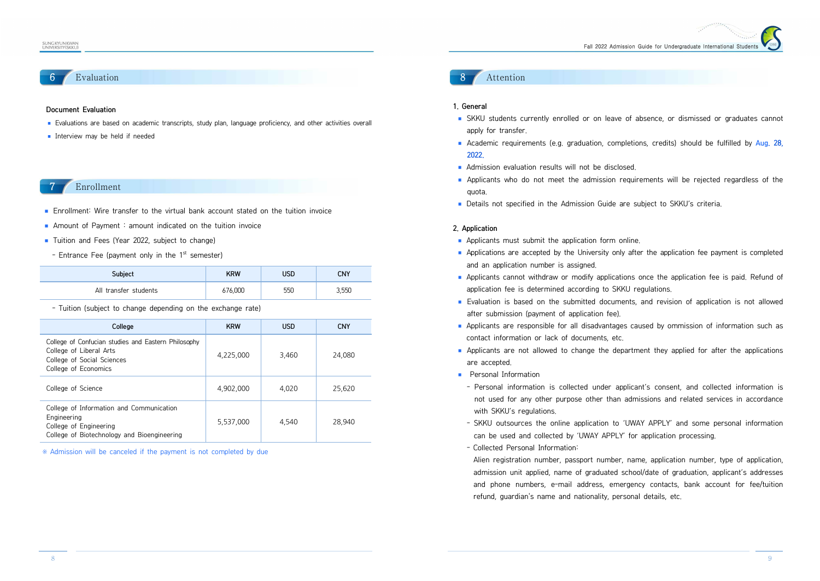# **Evaluation**

#### **Document Evaluation**

- Evaluations are based on academic transcripts, study plan, language proficiency, and other activities overall
- Interview may be held if needed

### **Enrollment**

- Enrollment: Wire transfer to the virtual bank account stated on the tuition invoice
- **E** Amount of Payment : amount indicated on the tuition invoice
- Tuition and Fees (Year 2022, subject to change)
- Entrance Fee (payment only in the 1<sup>st</sup> semester)

| Subject               | KRW     | <b>USD</b> | CNY   |
|-----------------------|---------|------------|-------|
| All transfer students | 676,000 | 550        | 3,550 |

- Tuition (subject to change depending on the exchange rate)

| College                                                                                                                              | <b>KRW</b> | <b>USD</b> | <b>CNY</b> |
|--------------------------------------------------------------------------------------------------------------------------------------|------------|------------|------------|
| College of Confucian studies and Eastern Philosophy<br>College of Liberal Arts<br>College of Social Sciences<br>College of Economics | 4,225,000  | 3.460      | 24,080     |
| College of Science                                                                                                                   | 4.902.000  | 4.020      | 25,620     |
| College of Information and Communication<br>Engineering<br>College of Engineering<br>College of Biotechnology and Bioengineering     | 5.537.000  | 4.540      | 28.940     |

※ Admission will be canceled if the payment is not completed by due

### **Attention**

#### **1. General**

- SKKU students currently enrolled or on leave of absence, or dismissed or graduates cannot apply for transfer.<br>■ Academic requirements (e.g. graduation, completions, credits) should be fulfilled by Aug. 28
- **2022.**
- 
- Admission evaluation results will not be disclosed.<br>■ Applicants who do not meet the admission requirements will be rejected regardless of the quota.<br>■ Details not specified in the Admission Guide are subject to SKKU's criteria.
- 

#### **2. Application**

- 
- Applicants must submit the application form online.<br>■ Applications are accepted by the University only after the application fee payment is completed and an application number is assigned.<br>■ Applicants cannot withdraw or modify applications once the application fee is paid. Refund of
- application fee is determined according to SKKU regulations.<br>■ Evaluation is based on the submitted documents, and revision of application is not allowed
- 
- Fraction (payment of application fee).<br>
 Applicants are responsible for all disadvantages caused by ommission of information such as<br>
contact information or lack of documents, etc.<br>
 Applicants are not allowed to change
- 
- - Personal information is collected under applicant's consent, and collected information is not used for any other purpose other than admissions and related services in accordance
	- with SKKU's regulations.<br>- SKKU outsources the online application to 'UWAY APPLY' and some personal information<br>can be used and collected by 'UWAY APPLY' for application processing.<br>- Collected Personal Information:
	-

 Alien registration number, passport number, name, application number, type of application, admission unit applied, name of graduated school/date of graduation, applicant's addresses and phone numbers, e-mail address, emergency contacts, bank account for fee/tuition refund, guardian's name and nationality, personal details, etc.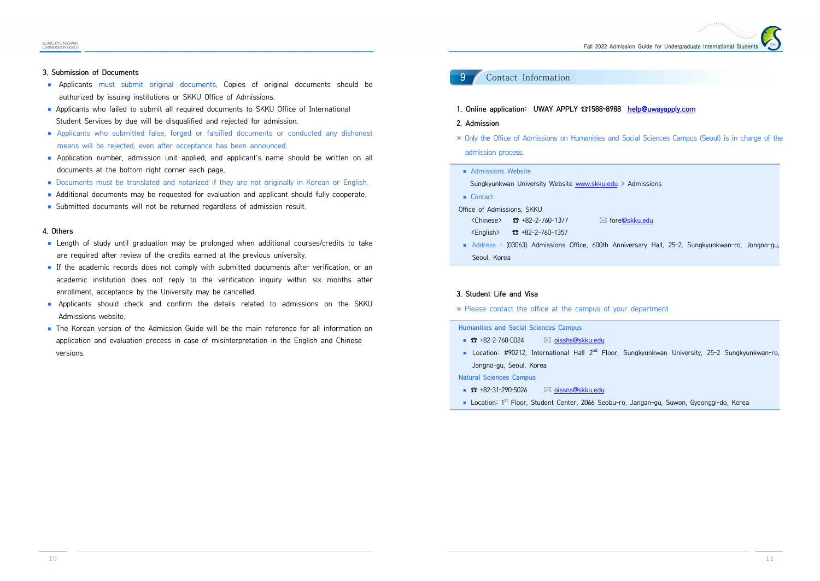#### **3. Submission of Documents**

- Applicants must submit original documents. Copies of original documents should be authorized by issuing institutions or SKKU Office of Admissions.
- Applicants who failed to submit all required documents to SKKU Office of International
- Student Services by due will be disqualified and rejected for admission.<br>
 Applicants who submitted false, forged or falsified documents or conducted any dishonest<br>
means will be rejected, even after acceptance has been a
- 
- documents at the bottom right corner each page.<br>
 Documents must be translated and notarized if they are not originally in Korean or English.<br>
 Additional documents may be requested for evaluation and applicant should fu
- 
- 

#### **4. Others**

- Length of study until graduation may be prolonged when additional courses/credits to take<br>are required after review of the credits earned at the previous university.<br>■ If the academic records does not comply with submit
- enrollment, acceptance by the University may be cancelled.<br>■ Applicants should check and confirm the details related to admissions on the SKKU
- Admissions website.<br>■ The Korean version of the Admission Guide will be the main reference for all information on
- application and evaluation process in case of misinterpretation in the English and Chinese versions.

# 9 Contact Information

- **1. Online application: UWAY APPLY ☎1588-8988 help@uwayapply.com**
- **2. Admission**
- ※ Only the Office of Admissions on Humanities and Social Sciences Campus (Seoul) is in charge of the admission process.
- Admissions Website

Sungkyunkwan University Website www.skku.edu > Admissions

■ Contact

Office of Admissions, SKKU

- $\langle$ Chinese>  $\frac{1}{2}$  +82-2-760-1377  $\Box$  fore@skku.edu
- 
- <English> ☎ +82-2-760-1357 ◾ Address : (03063) Admissions Office, 600th Anniversary Hall, 25-2, Sungkyunkwan-ro, Jongno-gu, Seoul, Korea

#### **3. Student Life and Visa**

※ Please contact the office at the campus of your department

#### **Humanities and Social Sciences Campus**

- ☎ +82-2-760-0024 **and all all oisshs@skku.edu**
- Location: #90212, International Hall 2<sup>nd</sup> Floor, Sungkyunkwan University, 25-2 Sungkyunkwan-ro, Jongno-gu, Seoul, Korea

**Natural Sciences Campus**

- ☎ +82-31-290-5026 **22** oissns@skku.edu
- Location: 1<sup>st</sup> Floor, Student Center, 2066 Seobu-ro, Jangan-gu, Suwon, Gyeonggi-do, Korea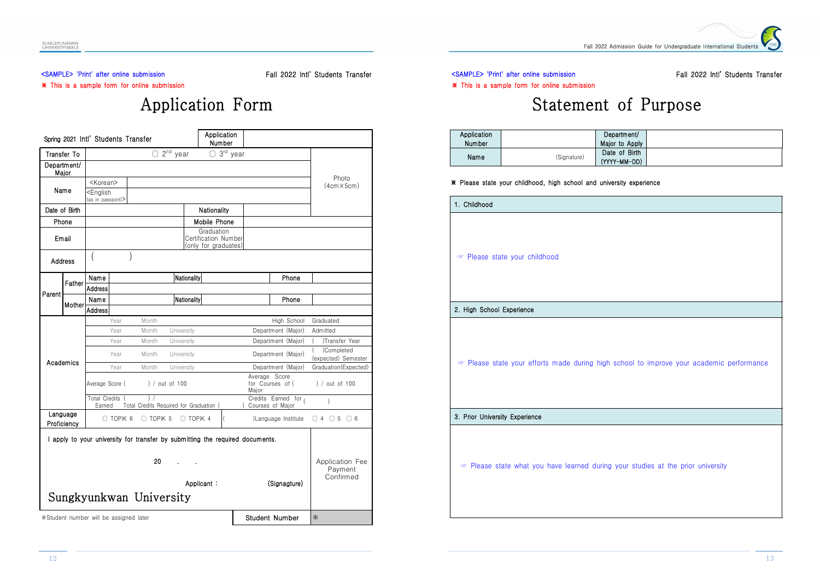#### <SAMPLE> 'Print' after online submission ※ This is a sample form for online submission

Fall 2022 Intl' Students Transfer

# Application Form

|                         |        | Spring 2021 Intl' Students Transfer                                 |                |                                                                               |                | Application<br>Number                                      |                             |       |                                        |                             |
|-------------------------|--------|---------------------------------------------------------------------|----------------|-------------------------------------------------------------------------------|----------------|------------------------------------------------------------|-----------------------------|-------|----------------------------------------|-----------------------------|
| Transfer To             |        |                                                                     |                |                                                                               | $2nd$ year     |                                                            | $\Box$ 3 <sup>rd</sup> year |       |                                        |                             |
| Department/<br>Major    |        |                                                                     |                |                                                                               |                |                                                            |                             |       |                                        | Photo                       |
| Name                    |        | <korean><br/><english<br>(as in passport)&gt;</english<br></korean> |                |                                                                               |                |                                                            |                             |       |                                        | $(4cm \times 5cm)$          |
| Date of Birth           |        |                                                                     |                |                                                                               |                | Nationality                                                |                             |       |                                        |                             |
| Phone                   |        |                                                                     |                |                                                                               |                | Mobile Phone                                               |                             |       |                                        |                             |
| Email                   |        |                                                                     |                |                                                                               |                | Graduation<br>Certification Number<br>(only for graduates) |                             |       |                                        |                             |
| <b>Address</b>          |        |                                                                     |                |                                                                               |                |                                                            |                             |       |                                        |                             |
|                         | Father | Name                                                                |                |                                                                               | Nationality    |                                                            |                             |       | Phone                                  |                             |
| Parent                  |        | Address                                                             |                |                                                                               |                |                                                            |                             |       |                                        |                             |
|                         | Mother | Name                                                                |                |                                                                               | Nationality    |                                                            |                             |       | Phone                                  |                             |
|                         |        | <b>Address</b>                                                      |                |                                                                               |                |                                                            |                             |       |                                        |                             |
|                         |        |                                                                     | Year           | Month                                                                         |                |                                                            |                             |       | High School                            | Graduated                   |
|                         |        |                                                                     | Year           | Month                                                                         | University     |                                                            |                             |       | Department (Major)                     | Admitted                    |
|                         |        |                                                                     | Year           | Month                                                                         | University     |                                                            |                             |       | Department (Major)                     | Transfer Year<br>)Completed |
| Academics               |        |                                                                     | Year           | Month                                                                         | University     |                                                            |                             |       | Department (Major)                     | (expected) Semester         |
|                         |        |                                                                     | Year           | Month                                                                         | University     |                                                            |                             |       | Department (Major)                     | Graduation(Expected)        |
|                         |        | Average Score (                                                     |                |                                                                               | ) / out of 100 |                                                            |                             | Major | Average Score<br>for Courses of (      | ) / out of 100              |
|                         |        | <b>Total Credits</b><br>Earned                                      |                | $\frac{1}{2}$<br>Total Credits Required for Graduation (                      |                |                                                            | $\mathcal{L}$               |       | Credits Earned for<br>Courses of Major | $\lambda$                   |
| Language<br>Proficiency |        |                                                                     | $\Box$ topik 6 | $\Box$ TOPIK 5                                                                |                | $\Box$ TOPIK 4                                             | l                           |       | Language Institute                     | $\Box 4$ $\Box 5$ $\Box 6$  |
|                         |        |                                                                     |                | I apply to your university for transfer by submitting the required documents. |                |                                                            |                             |       |                                        |                             |
|                         |        |                                                                     |                | 20                                                                            |                |                                                            |                             |       |                                        | Application Fee<br>Payment  |
|                         |        |                                                                     |                | Sungkyunkwan University                                                       |                | Applicant:                                                 |                             |       | (Signagture)                           | Confirmed                   |
|                         |        | *Student number will be assigned later                              |                |                                                                               |                |                                                            |                             |       | <b>Student Number</b>                  | ※                           |

<SAMPLE> 'Print' after online submission ※ This is a sample form for online submission Fall 2022 Intl' Students Transfer

# Statement of Purpose

| Application   |             | Department/    |  |
|---------------|-------------|----------------|--|
| <b>Number</b> |             | Major to Apply |  |
| Name          | (Signature) | Date of Birth  |  |
|               |             | (YYYY-MM-DD)   |  |

#### ※ Please state your childhood, high school and university experience

| 1. Childhood                   |                                                                                        |
|--------------------------------|----------------------------------------------------------------------------------------|
|                                | Please state your childhood                                                            |
|                                |                                                                                        |
|                                |                                                                                        |
| 2. High School Experience      |                                                                                        |
|                                |                                                                                        |
|                                | Please state your efforts made during high school to improve your academic performance |
| 3. Prior University Experience |                                                                                        |
|                                |                                                                                        |
|                                | Please state what you have learned during your studies at the prior university         |
|                                |                                                                                        |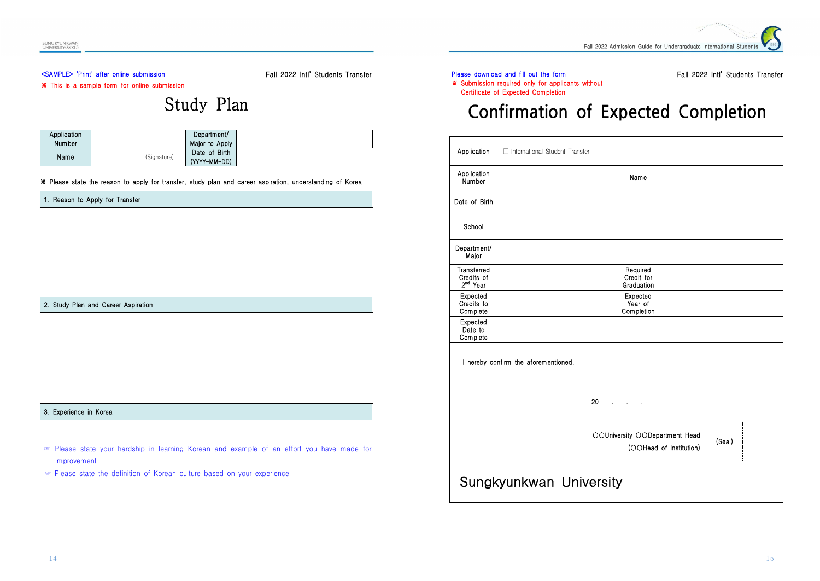# <SAMPLE> 'Print' after online submission

Fall 2022 Intl' Students Transfer

#### ※ This is a sample form for online submission

# Study Plan

| Application   |             | Department/    |  |
|---------------|-------------|----------------|--|
| <b>Number</b> |             | Major to Apply |  |
|               | (Signature) | Date of Birth  |  |
| Name          |             | (YYYY-MM-DD)   |  |

#### ※ Please state the reason to apply for transfer, study plan and career aspiration, understanding of Korea

| 1. Reason to Apply for Transfer                                                          |
|------------------------------------------------------------------------------------------|
|                                                                                          |
|                                                                                          |
|                                                                                          |
|                                                                                          |
|                                                                                          |
|                                                                                          |
|                                                                                          |
| 2. Study Plan and Career Aspiration                                                      |
|                                                                                          |
|                                                                                          |
|                                                                                          |
|                                                                                          |
|                                                                                          |
|                                                                                          |
|                                                                                          |
| 3. Experience in Korea                                                                   |
|                                                                                          |
|                                                                                          |
| Please state your hardship in learning Korean and example of an effort you have made for |
| improvement                                                                              |
| Please state the definition of Korean culture based on your experience                   |
|                                                                                          |
|                                                                                          |

### Please download and fill out the form ※ Submission required only for applicants without

### Fall 2022 Intl' Students Transfer

Certificate of Expected Completion

# **Confirmation of Expected Completion**

| Application                                       | □ International Student Transfer                          |        |
|---------------------------------------------------|-----------------------------------------------------------|--------|
| Application<br>Number                             | Name                                                      |        |
| Date of Birth                                     |                                                           |        |
| School                                            |                                                           |        |
| Department/<br>Major                              |                                                           |        |
| Transferred<br>Credits of<br>2 <sup>nd</sup> Year | Required<br>Credit for<br>Graduation                      |        |
| Expected<br>Credits to<br>Complete                | Expected<br>Year of<br>Completion                         |        |
| Expected<br>Date to<br>Complete                   |                                                           |        |
|                                                   | I hereby confirm the aforementioned.                      |        |
|                                                   | 20<br>$\ddot{\phantom{0}}$<br>$\cdot$                     |        |
|                                                   | OOUniversity OODepartment Head<br>(OOHead of Institution) | (Seal) |
|                                                   | Sungkyunkwan University                                   |        |